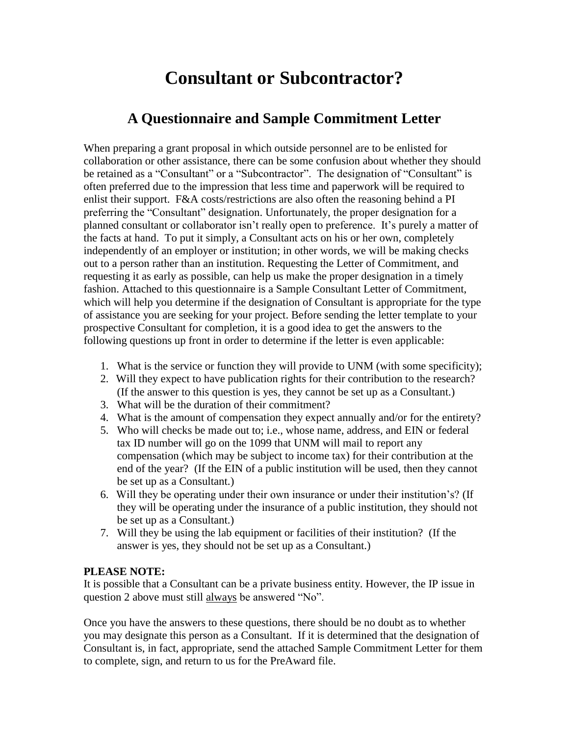## **Consultant or Subcontractor?**

## **A Questionnaire and Sample Commitment Letter**

When preparing a grant proposal in which outside personnel are to be enlisted for collaboration or other assistance, there can be some confusion about whether they should be retained as a "Consultant" or a "Subcontractor". The designation of "Consultant" is often preferred due to the impression that less time and paperwork will be required to enlist their support. F&A costs/restrictions are also often the reasoning behind a PI preferring the "Consultant" designation. Unfortunately, the proper designation for a planned consultant or collaborator isn't really open to preference. It's purely a matter of the facts at hand. To put it simply, a Consultant acts on his or her own, completely independently of an employer or institution; in other words, we will be making checks out to a person rather than an institution. Requesting the Letter of Commitment, and requesting it as early as possible, can help us make the proper designation in a timely fashion. Attached to this questionnaire is a Sample Consultant Letter of Commitment, which will help you determine if the designation of Consultant is appropriate for the type of assistance you are seeking for your project. Before sending the letter template to your prospective Consultant for completion, it is a good idea to get the answers to the following questions up front in order to determine if the letter is even applicable:

- 1. What is the service or function they will provide to UNM (with some specificity);
- 2.Will they expect to have publication rights for their contribution to the research? (If the answer to this question is yes, they cannot be set up as a Consultant.)
- 3. What will be the duration of their commitment?
- 4. What is the amount of compensation they expect annually and/or for the entirety?
- 5. Who will checks be made out to; i.e., whose name, address, and EIN or federal tax ID number will go on the 1099 that UNM will mail to report any compensation (which may be subject to income tax) for their contribution at the end of the year? (If the EIN of a public institution will be used, then they cannot be set up as a Consultant.)
- 6.Will they be operating under their own insurance or under their institution's? (If they will be operating under the insurance of a public institution, they should not be set up as a Consultant.)
- 7. Will they be using the lab equipment or facilities of their institution? (If the answer is yes, they should not be set up as a Consultant.)

## **PLEASE NOTE:**

It is possible that a Consultant can be a private business entity. However, the IP issue in question 2 above must still always be answered "No".

Once you have the answers to these questions, there should be no doubt as to whether you may designate this person as a Consultant. If it is determined that the designation of Consultant is, in fact, appropriate, send the attached Sample Commitment Letter for them to complete, sign, and return to us for the PreAward file.